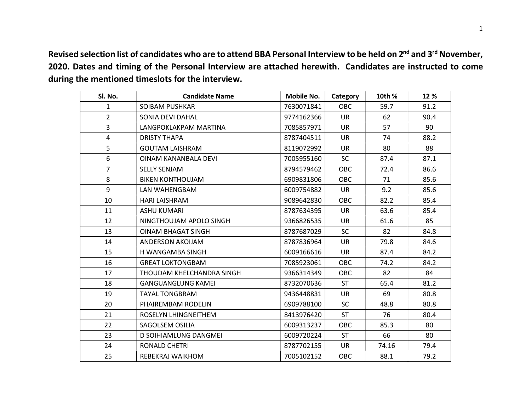Revised selection list of candidates who are to attend BBA Personal Interview to be held on 2<sup>nd</sup> and 3<sup>rd</sup> November, 2020. Dates and timing of the Personal Interview are attached herewith. Candidates are instructed to come during the mentioned timeslots for the interview.

| Sl. No.        | <b>Candidate Name</b>     | Mobile No. | Category   | 10th % | 12 % |
|----------------|---------------------------|------------|------------|--------|------|
| $\mathbf{1}$   | SOIBAM PUSHKAR            | 7630071841 | <b>OBC</b> | 59.7   | 91.2 |
| $\overline{2}$ | SONIA DEVI DAHAL          | 9774162366 | <b>UR</b>  | 62     | 90.4 |
| 3              | LANGPOKLAKPAM MARTINA     | 7085857971 | <b>UR</b>  | 57     | 90   |
| 4              | <b>DRISTY THAPA</b>       | 8787404511 | <b>UR</b>  | 74     | 88.2 |
| 5              | <b>GOUTAM LAISHRAM</b>    | 8119072992 | <b>UR</b>  | 80     | 88   |
| 6              | OINAM KANANBALA DEVI      | 7005955160 | <b>SC</b>  | 87.4   | 87.1 |
| $\overline{7}$ | <b>SELLY SENJAM</b>       | 8794579462 | OBC        | 72.4   | 86.6 |
| 8              | <b>BIKEN KONTHOUJAM</b>   | 6909831806 | OBC        | 71     | 85.6 |
| 9              | LAN WAHENGBAM             | 6009754882 | <b>UR</b>  | 9.2    | 85.6 |
| 10             | <b>HARI LAISHRAM</b>      | 9089642830 | <b>OBC</b> | 82.2   | 85.4 |
| 11             | <b>ASHU KUMARI</b>        | 8787634395 | <b>UR</b>  | 63.6   | 85.4 |
| 12             | NINGTHOUJAM APOLO SINGH   | 9366826535 | <b>UR</b>  | 61.6   | 85   |
| 13             | <b>OINAM BHAGAT SINGH</b> | 8787687029 | <b>SC</b>  | 82     | 84.8 |
| 14             | ANDERSON AKOIJAM          | 8787836964 | <b>UR</b>  | 79.8   | 84.6 |
| 15             | H WANGAMBA SINGH          | 6009166616 | <b>UR</b>  | 87.4   | 84.2 |
| 16             | <b>GREAT LOKTONGBAM</b>   | 7085923061 | OBC        | 74.2   | 84.2 |
| 17             | THOUDAM KHELCHANDRA SINGH | 9366314349 | <b>OBC</b> | 82     | 84   |
| 18             | <b>GANGUANGLUNG KAMEL</b> | 8732070636 | <b>ST</b>  | 65.4   | 81.2 |
| 19             | <b>TAYAL TONGBRAM</b>     | 9436448831 | <b>UR</b>  | 69     | 80.8 |
| 20             | PHAIREMBAM RODELIN        | 6909788100 | <b>SC</b>  | 48.8   | 80.8 |
| 21             | ROSELYN LHINGNEITHEM      | 8413976420 | <b>ST</b>  | 76     | 80.4 |
| 22             | SAGOLSEM OSILIA           | 6009313237 | <b>OBC</b> | 85.3   | 80   |
| 23             | D SOIHIAMLUNG DANGMEI     | 6009720224 | <b>ST</b>  | 66     | 80   |
| 24             | <b>RONALD CHETRI</b>      | 8787702155 | UR         | 74.16  | 79.4 |
| 25             | REBEKRAJ WAIKHOM          | 7005102152 | OBC        | 88.1   | 79.2 |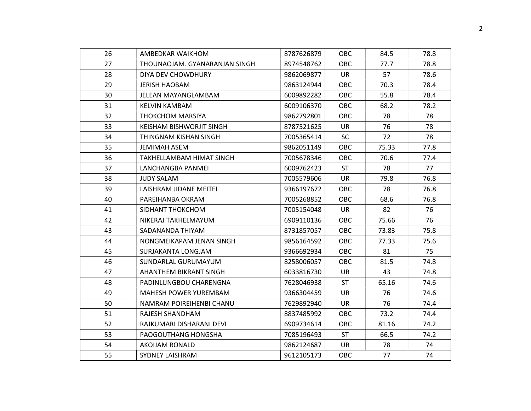| 26 | AMBEDKAR WAIKHOM              | 8787626879 | <b>OBC</b> | 84.5  | 78.8 |
|----|-------------------------------|------------|------------|-------|------|
| 27 | THOUNAOJAM. GYANARANJAN.SINGH | 8974548762 | <b>OBC</b> | 77.7  | 78.8 |
| 28 | DIYA DEV CHOWDHURY            | 9862069877 | <b>UR</b>  | 57    | 78.6 |
| 29 | <b>JERISH HAOBAM</b>          | 9863124944 | OBC        | 70.3  | 78.4 |
| 30 | JELEAN MAYANGLAMBAM           | 6009892282 | OBC        | 55.8  | 78.4 |
| 31 | KELVIN KAMBAM                 | 6009106370 | OBC        | 68.2  | 78.2 |
| 32 | <b>THOKCHOM MARSIYA</b>       | 9862792801 | <b>OBC</b> | 78    | 78   |
| 33 | KEISHAM BISHWORJIT SINGH      | 8787521625 | <b>UR</b>  | 76    | 78   |
| 34 | THINGNAM KISHAN SINGH         | 7005365414 | <b>SC</b>  | 72    | 78   |
| 35 | <b>JEMIMAH ASEM</b>           | 9862051149 | <b>OBC</b> | 75.33 | 77.8 |
| 36 | TAKHELLAMBAM HIMAT SINGH      | 7005678346 | <b>OBC</b> | 70.6  | 77.4 |
| 37 | LANCHANGBA PANMEI             | 6009762423 | <b>ST</b>  | 78    | 77   |
| 38 | JUDY SALAM                    | 7005579606 | UR         | 79.8  | 76.8 |
| 39 | LAISHRAM JIDANE MEITEI        | 9366197672 | <b>OBC</b> | 78    | 76.8 |
| 40 | PAREIHANBA OKRAM              | 7005268852 | <b>OBC</b> | 68.6  | 76.8 |
| 41 | SIDHANT THOKCHOM              | 7005154048 | <b>UR</b>  | 82    | 76   |
| 42 | NIKERAJ TAKHELMAYUM           | 6909110136 | <b>OBC</b> | 75.66 | 76   |
| 43 | SADANANDA THIYAM              | 8731857057 | OBC        | 73.83 | 75.8 |
| 44 | NONGMEIKAPAM JENAN SINGH      | 9856164592 | <b>OBC</b> | 77.33 | 75.6 |
| 45 | SURJAKANTA LONGJAM            | 9366692934 | OBC        | 81    | 75   |
| 46 | SUNDARLAL GURUMAYUM           | 8258006057 | <b>OBC</b> | 81.5  | 74.8 |
| 47 | AHANTHEM BIKRANT SINGH        | 6033816730 | <b>UR</b>  | 43    | 74.8 |
| 48 | PADINLUNGBOU CHARENGNA        | 7628046938 | <b>ST</b>  | 65.16 | 74.6 |
| 49 | MAHESH POWER YUREMBAM         | 9366304459 | <b>UR</b>  | 76    | 74.6 |
| 50 | NAMRAM POIREIHENBI CHANU      | 7629892940 | UR         | 76    | 74.4 |
| 51 | RAJESH SHANDHAM               | 8837485992 | <b>OBC</b> | 73.2  | 74.4 |
| 52 | RAJKUMARI DISHARANI DEVI      | 6909734614 | OBC        | 81.16 | 74.2 |
| 53 | PAOGOUTHANG HONGSHA           | 7085196493 | <b>ST</b>  | 66.5  | 74.2 |
| 54 | AKOIJAM RONALD                | 9862124687 | <b>UR</b>  | 78    | 74   |
| 55 | SYDNEY LAISHRAM               | 9612105173 | OBC        | 77    | 74   |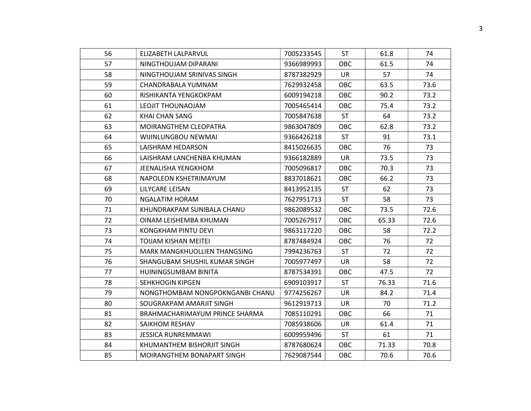| 56 | ELIZABETH LALPARVUL             | 7005233545 | <b>ST</b>  | 61.8  | 74   |
|----|---------------------------------|------------|------------|-------|------|
| 57 | NINGTHOUJAM DIPARANI            | 9366989993 | <b>OBC</b> | 61.5  | 74   |
| 58 | NINGTHOUJAM SRINIVAS SINGH      | 8787382929 | UR         | 57    | 74   |
| 59 | CHANDRABALA YUMNAM              | 7629932458 | OBC        | 63.5  | 73.6 |
| 60 | RISHIKANTA YENGKOKPAM           | 6009194218 | <b>OBC</b> | 90.2  | 73.2 |
| 61 | LEOJIT THOUNAOJAM               | 7005465414 | OBC        | 75.4  | 73.2 |
| 62 | KHAI CHAN SANG                  | 7005847638 | ST         | 64    | 73.2 |
| 63 | MOIRANGTHEM CLEOPATRA           | 9863047809 | OBC        | 62.8  | 73.2 |
| 64 | WIJINLUNGBOU NEWMAI             | 9366426218 | <b>ST</b>  | 91    | 73.1 |
| 65 | LAISHRAM HEDARSON               | 8415026635 | OBC        | 76    | 73   |
| 66 | LAISHRAM LANCHENBA KHUMAN       | 9366182889 | <b>UR</b>  | 73.5  | 73   |
| 67 | <b>JEENALISHA YENGKHOM</b>      | 7005096817 | <b>OBC</b> | 70.3  | 73   |
| 68 | NAPOLEON KSHETRIMAYUM           | 8837018621 | <b>OBC</b> | 66.2  | 73   |
| 69 | LILYCARE LEISAN                 | 8413952135 | <b>ST</b>  | 62    | 73   |
| 70 | NGALATIM HORAM                  | 7627951713 | <b>ST</b>  | 58    | 73   |
| 71 | KHUNDRAKPAM SUNIBALA CHANU      | 9862089532 | <b>OBC</b> | 73.5  | 72.6 |
| 72 | OINAM LEISHEMBA KHUMAN          | 7005267917 | <b>OBC</b> | 65.33 | 72.6 |
| 73 | KONGKHAM PINTU DEVI             | 9863117220 | OBC        | 58    | 72.2 |
| 74 | <b>TOIJAM KISHAN MEITEI</b>     | 8787484924 | <b>OBC</b> | 76    | 72   |
| 75 | MARK MANGKHUOLLIEN THANGSING    | 7994236763 | <b>ST</b>  | 72    | 72   |
| 76 | SHANGUBAM SHUSHIL KUMAR SINGH   | 7005977497 | <b>UR</b>  | 58    | 72   |
| 77 | HUININGSUMBAM BINITA            | 8787534391 | <b>OBC</b> | 47.5  | 72   |
| 78 | <b>SEHKHOGIN KIPGEN</b>         | 6909103917 | <b>ST</b>  | 76.33 | 71.6 |
| 79 | NONGTHOMBAM NONGPOKNGANBI CHANU | 9774256267 | <b>UR</b>  | 84.2  | 71.4 |
| 80 | SOUGRAKPAM AMARJIT SINGH        | 9612919713 | <b>UR</b>  | 70    | 71.2 |
| 81 | BRAHMACHARIMAYUM PRINCE SHARMA  | 7085110291 | <b>OBC</b> | 66    | 71   |
| 82 | SAIKHOM RESHAV                  | 7085938606 | <b>UR</b>  | 61.4  | 71   |
| 83 | <b>JESSICA RUNREMMAWI</b>       | 6009959496 | <b>ST</b>  | 61    | 71   |
| 84 | KHUMANTHEM BISHORJIT SINGH      | 8787680624 | OBC        | 71.33 | 70.8 |
| 85 | MOIRANGTHEM BONAPART SINGH      | 7629087544 | <b>OBC</b> | 70.6  | 70.6 |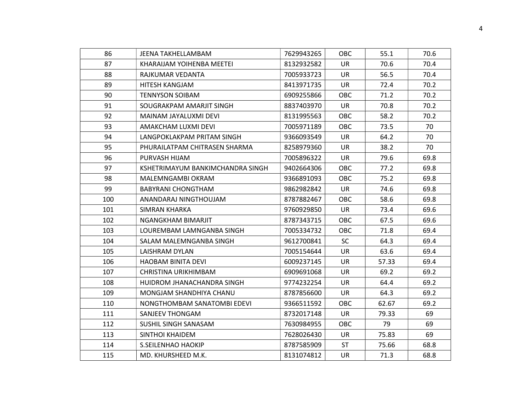| 86  | JEENA TAKHELLAMBAM               | 7629943265 | <b>OBC</b> | 55.1  | 70.6 |
|-----|----------------------------------|------------|------------|-------|------|
| 87  | KHARAIJAM YOIHENBA MEETEI        | 8132932582 | <b>UR</b>  | 70.6  | 70.4 |
| 88  | RAJKUMAR VEDANTA                 | 7005933723 | <b>UR</b>  | 56.5  | 70.4 |
| 89  | HITESH KANGJAM                   | 8413971735 | <b>UR</b>  | 72.4  | 70.2 |
| 90  | <b>TENNYSON SOIBAM</b>           | 6909255866 | <b>OBC</b> | 71.2  | 70.2 |
| 91  | SOUGRAKPAM AMARJIT SINGH         | 8837403970 | UR         | 70.8  | 70.2 |
| 92  | MAINAM JAYALUXMI DEVI            | 8131995563 | <b>OBC</b> | 58.2  | 70.2 |
| 93  | AMAKCHAM LUXMI DEVI              | 7005971189 | <b>OBC</b> | 73.5  | 70   |
| 94  | LANGPOKLAKPAM PRITAM SINGH       | 9366093549 | UR         | 64.2  | 70   |
| 95  | PHURAILATPAM CHITRASEN SHARMA    | 8258979360 | <b>UR</b>  | 38.2  | 70   |
| 96  | PURVASH HIJAM                    | 7005896322 | UR         | 79.6  | 69.8 |
| 97  | KSHETRIMAYUM BANKIMCHANDRA SINGH | 9402664306 | <b>OBC</b> | 77.2  | 69.8 |
| 98  | MALEMNGAMBI OKRAM                | 9366891093 | OBC.       | 75.2  | 69.8 |
| 99  | <b>BABYRANI CHONGTHAM</b>        | 9862982842 | <b>UR</b>  | 74.6  | 69.8 |
| 100 | ANANDARAJ NINGTHOUJAM            | 8787882467 | OBC.       | 58.6  | 69.8 |
| 101 | SIMRAN KHARKA                    | 9760929850 | <b>UR</b>  | 73.4  | 69.6 |
| 102 | NGANGKHAM BIMARJIT               | 8787343715 | <b>OBC</b> | 67.5  | 69.6 |
| 103 | LOUREMBAM LAMNGANBA SINGH        | 7005334732 | <b>OBC</b> | 71.8  | 69.4 |
| 104 | SALAM MALEMNGANBA SINGH          | 9612700841 | <b>SC</b>  | 64.3  | 69.4 |
| 105 | LAISHRAM DYLAN                   | 7005154644 | <b>UR</b>  | 63.6  | 69.4 |
| 106 | HAOBAM BINITA DEVI               | 6009237145 | UR         | 57.33 | 69.4 |
| 107 | CHRISTINA URIKHIMBAM             | 6909691068 | <b>UR</b>  | 69.2  | 69.2 |
| 108 | HUIDROM JHANACHANDRA SINGH       | 9774232254 | <b>UR</b>  | 64.4  | 69.2 |
| 109 | MONGJAM SHANDHIYA CHANU          | 8787856600 | <b>UR</b>  | 64.3  | 69.2 |
| 110 | NONGTHOMBAM SANATOMBI EDEVI      | 9366511592 | <b>OBC</b> | 62.67 | 69.2 |
| 111 | SANJEEV THONGAM                  | 8732017148 | <b>UR</b>  | 79.33 | 69   |
| 112 | SUSHIL SINGH SANASAM             | 7630984955 | <b>OBC</b> | 79    | 69   |
| 113 | SINTHOI KHAIDEM                  | 7628026430 | <b>UR</b>  | 75.83 | 69   |
| 114 | S.SEILENHAO HAOKIP               | 8787585909 | <b>ST</b>  | 75.66 | 68.8 |
| 115 | MD. KHURSHEED M.K.               | 8131074812 | <b>UR</b>  | 71.3  | 68.8 |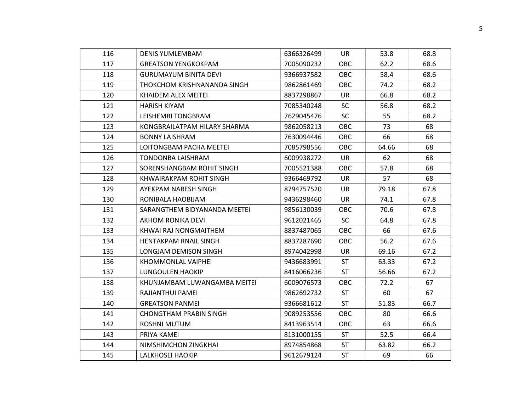| 116 | <b>DENIS YUMLEMBAM</b>        | 6366326499 | UR         | 53.8  | 68.8 |
|-----|-------------------------------|------------|------------|-------|------|
| 117 | <b>GREATSON YENGKOKPAM</b>    | 7005090232 | <b>OBC</b> | 62.2  | 68.6 |
| 118 | <b>GURUMAYUM BINITA DEVI</b>  | 9366937582 | <b>OBC</b> | 58.4  | 68.6 |
| 119 | THOKCHOM KRISHNANANDA SINGH   | 9862861469 | <b>OBC</b> | 74.2  | 68.2 |
| 120 | KHAIDEM ALEX MEITEI           | 8837298867 | UR         | 66.8  | 68.2 |
| 121 | <b>HARISH KIYAM</b>           | 7085340248 | <b>SC</b>  | 56.8  | 68.2 |
| 122 | LEISHEMBI TONGBRAM            | 7629045476 | <b>SC</b>  | 55    | 68.2 |
| 123 | KONGBRAILATPAM HILARY SHARMA  | 9862058213 | <b>OBC</b> | 73    | 68   |
| 124 | <b>BONNY LAISHRAM</b>         | 7630094446 | <b>OBC</b> | 66    | 68   |
| 125 | LOITONGBAM PACHA MEETEI       | 7085798556 | <b>OBC</b> | 64.66 | 68   |
| 126 | <b>TONDONBA LAISHRAM</b>      | 6009938272 | UR         | 62    | 68   |
| 127 | SORENSHANGBAM ROHIT SINGH     | 7005521388 | <b>OBC</b> | 57.8  | 68   |
| 128 | KHWAIRAKPAM ROHIT SINGH       | 9366469792 | <b>UR</b>  | 57    | 68   |
| 129 | AYEKPAM NARESH SINGH          | 8794757520 | <b>UR</b>  | 79.18 | 67.8 |
| 130 | RONIBALA HAOBIJAM             | 9436298460 | UR         | 74.1  | 67.8 |
| 131 | SARANGTHEM BIDYANANDA MEETEI  | 9856130039 | OBC        | 70.6  | 67.8 |
| 132 | AKHOM RONIKA DEVI             | 9612021465 | <b>SC</b>  | 64.8  | 67.8 |
| 133 | KHWAI RAJ NONGMAITHEM         | 8837487065 | <b>OBC</b> | 66    | 67.6 |
| 134 | <b>HENTAKPAM RNAIL SINGH</b>  | 8837287690 | <b>OBC</b> | 56.2  | 67.6 |
| 135 | LONGJAM DEMISON SINGH         | 8974042998 | UR         | 69.16 | 67.2 |
| 136 | KHOMMONLAL VAIPHEI            | 9436683991 | <b>ST</b>  | 63.33 | 67.2 |
| 137 | <b>LUNGOULEN HAOKIP</b>       | 8416066236 | <b>ST</b>  | 56.66 | 67.2 |
| 138 | KHUNJAMBAM LUWANGAMBA MEITEI  | 6009076573 | <b>OBC</b> | 72.2  | 67   |
| 139 | RAJIANTHUI PAMEI              | 9862692732 | <b>ST</b>  | 60    | 67   |
| 140 | <b>GREATSON PANMEL</b>        | 9366681612 | <b>ST</b>  | 51.83 | 66.7 |
| 141 | <b>CHONGTHAM PRABIN SINGH</b> | 9089253556 | OBC        | 80    | 66.6 |
| 142 | <b>ROSHNI MUTUM</b>           | 8413963514 | <b>OBC</b> | 63    | 66.6 |
| 143 | PRIYA KAMEI                   | 8131000155 | <b>ST</b>  | 52.5  | 66.4 |
| 144 | NIMSHIMCHON ZINGKHAI          | 8974854868 | <b>ST</b>  | 63.82 | 66.2 |
| 145 | <b>LALKHOSEI HAOKIP</b>       | 9612679124 | <b>ST</b>  | 69    | 66   |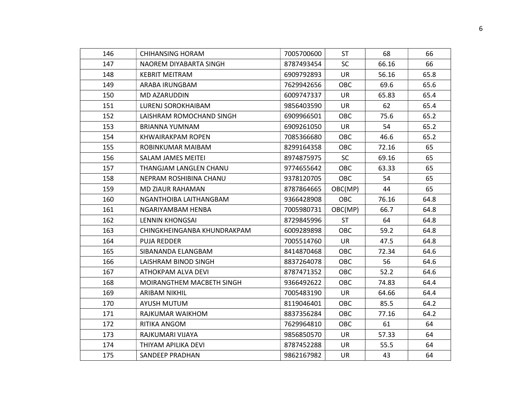| 146 | <b>CHIHANSING HORAM</b>     | 7005700600 | <b>ST</b>  | 68    | 66   |
|-----|-----------------------------|------------|------------|-------|------|
| 147 | NAOREM DIYABARTA SINGH      | 8787493454 | <b>SC</b>  | 66.16 | 66   |
| 148 | <b>KEBRIT MEITRAM</b>       | 6909792893 | <b>UR</b>  | 56.16 | 65.8 |
| 149 | ARABA IRUNGBAM              | 7629942656 | <b>OBC</b> | 69.6  | 65.6 |
| 150 | MD AZARUDDIN                | 6009747337 | UR         | 65.83 | 65.4 |
| 151 | LURENJ SOROKHAIBAM          | 9856403590 | <b>UR</b>  | 62    | 65.4 |
| 152 | LAISHRAM ROMOCHAND SINGH    | 6909966501 | <b>OBC</b> | 75.6  | 65.2 |
| 153 | BRIANNA YUMNAM              | 6909261050 | <b>UR</b>  | 54    | 65.2 |
| 154 | KHWAIRAKPAM ROPEN           | 7085366680 | <b>OBC</b> | 46.6  | 65.2 |
| 155 | ROBINKUMAR MAIBAM           | 8299164358 | OBC        | 72.16 | 65   |
| 156 | <b>SALAM JAMES MEITEI</b>   | 8974875975 | <b>SC</b>  | 69.16 | 65   |
| 157 | THANGJAM LANGLEN CHANU      | 9774655642 | <b>OBC</b> | 63.33 | 65   |
| 158 | NEPRAM ROSHIBINA CHANU      | 9378120705 | <b>OBC</b> | 54    | 65   |
| 159 | <b>MD ZIAUR RAHAMAN</b>     | 8787864665 | OBC(MP)    | 44    | 65   |
| 160 | NGANTHOIBA LAITHANGBAM      | 9366428908 | <b>OBC</b> | 76.16 | 64.8 |
| 161 | NGARIYAMBAM HENBA           | 7005980731 | OBC(MP)    | 66.7  | 64.8 |
| 162 | LENNIN KHONGSAI             | 8729845996 | <b>ST</b>  | 64    | 64.8 |
| 163 | CHINGKHEINGANBA KHUNDRAKPAM | 6009289898 | <b>OBC</b> | 59.2  | 64.8 |
| 164 | <b>PUJA REDDER</b>          | 7005514760 | <b>UR</b>  | 47.5  | 64.8 |
| 165 | SIBANANDA ELANGBAM          | 8414870468 | <b>OBC</b> | 72.34 | 64.6 |
| 166 | LAISHRAM BINOD SINGH        | 8837264078 | <b>OBC</b> | 56    | 64.6 |
| 167 | ATHOKPAM ALVA DEVI          | 8787471352 | OBC        | 52.2  | 64.6 |
| 168 | MOIRANGTHEM MACBETH SINGH   | 9366492622 | <b>OBC</b> | 74.83 | 64.4 |
| 169 | ARIBAM NIKHIL               | 7005483190 | <b>UR</b>  | 64.66 | 64.4 |
| 170 | <b>AYUSH MUTUM</b>          | 8119046401 | <b>OBC</b> | 85.5  | 64.2 |
| 171 | RAJKUMAR WAIKHOM            | 8837356284 | <b>OBC</b> | 77.16 | 64.2 |
| 172 | RITIKA ANGOM                | 7629964810 | <b>OBC</b> | 61    | 64   |
| 173 | RAJKUMARI VIJAYA            | 9856850570 | <b>UR</b>  | 57.33 | 64   |
| 174 | THIYAM APILIKA DEVI         | 8787452288 | <b>UR</b>  | 55.5  | 64   |
| 175 | <b>SANDEEP PRADHAN</b>      | 9862167982 | <b>UR</b>  | 43    | 64   |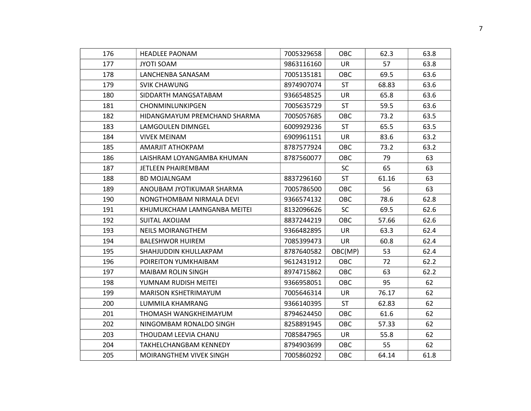| 176 | <b>HEADLEE PAONAM</b>         | 7005329658 | <b>OBC</b> | 62.3  | 63.8 |
|-----|-------------------------------|------------|------------|-------|------|
| 177 | <b>JYOTI SOAM</b>             | 9863116160 | <b>UR</b>  | 57    | 63.8 |
| 178 | LANCHENBA SANASAM             | 7005135181 | <b>OBC</b> | 69.5  | 63.6 |
| 179 | <b>SVIK CHAWUNG</b>           | 8974907074 | <b>ST</b>  | 68.83 | 63.6 |
| 180 | SIDDARTH MANGSATABAM          | 9366548525 | <b>UR</b>  | 65.8  | 63.6 |
| 181 | CHONMINLUNKIPGEN              | 7005635729 | <b>ST</b>  | 59.5  | 63.6 |
| 182 | HIDANGMAYUM PREMCHAND SHARMA  | 7005057685 | <b>OBC</b> | 73.2  | 63.5 |
| 183 | LAMGOULEN DIMNGEL             | 6009929236 | <b>ST</b>  | 65.5  | 63.5 |
| 184 | <b>VIVEK MEINAM</b>           | 6909961151 | <b>UR</b>  | 83.6  | 63.2 |
| 185 | AMARJIT ATHOKPAM              | 8787577924 | OBC        | 73.2  | 63.2 |
| 186 | LAISHRAM LOYANGAMBA KHUMAN    | 8787560077 | <b>OBC</b> | 79    | 63   |
| 187 | <b>JETLEEN PHAIREMBAM</b>     |            | <b>SC</b>  | 65    | 63   |
| 188 | <b>BD MOJALNGAM</b>           | 8837296160 | <b>ST</b>  | 61.16 | 63   |
| 189 | ANOUBAM JYOTIKUMAR SHARMA     | 7005786500 | <b>OBC</b> | 56    | 63   |
| 190 | NONGTHOMBAM NIRMALA DEVI      | 9366574132 | OBC.       | 78.6  | 62.8 |
| 191 | KHUMUKCHAM LAMNGANBA MEITEI   | 8132096626 | <b>SC</b>  | 69.5  | 62.6 |
| 192 | <b>SUITAL AKOIJAM</b>         | 8837244219 | <b>OBC</b> | 57.66 | 62.6 |
| 193 | <b>NEILS MOIRANGTHEM</b>      | 9366482895 | UR.        | 63.3  | 62.4 |
| 194 | <b>BALESHWOR HUIREM</b>       | 7085399473 | UR         | 60.8  | 62.4 |
| 195 | SHAHJUDDIN KHULLAKPAM         | 8787640582 | OBC(MP)    | 53    | 62.4 |
| 196 | POIREITON YUMKHAIBAM          | 9612431912 | <b>OBC</b> | 72    | 62.2 |
| 197 | <b>MAIBAM ROLIN SINGH</b>     | 8974715862 | OBC        | 63    | 62.2 |
| 198 | YUMNAM RUDISH MEITEI          | 9366958051 | <b>OBC</b> | 95    | 62   |
| 199 | <b>MARISON KSHETRIMAYUM</b>   | 7005646314 | UR         | 76.17 | 62   |
| 200 | LUMMILA KHAMRANG              | 9366140395 | <b>ST</b>  | 62.83 | 62   |
| 201 | THOMASH WANGKHEIMAYUM         | 8794624450 | <b>OBC</b> | 61.6  | 62   |
| 202 | NINGOMBAM RONALDO SINGH       | 8258891945 | OBC.       | 57.33 | 62   |
| 203 | THOUDAM LEEVIA CHANU          | 7085847965 | <b>UR</b>  | 55.8  | 62   |
| 204 | <b>TAKHELCHANGBAM KENNEDY</b> | 8794903699 | <b>OBC</b> | 55    | 62   |
| 205 | MOIRANGTHEM VIVEK SINGH       | 7005860292 | <b>OBC</b> | 64.14 | 61.8 |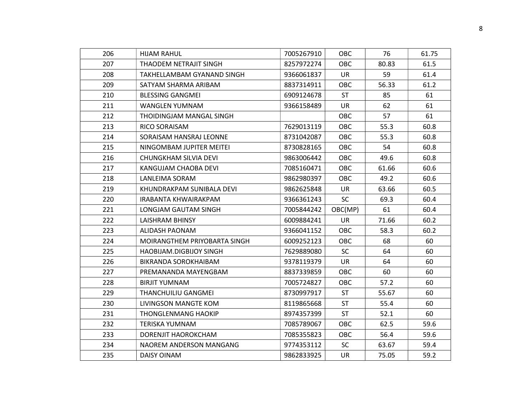| 206 | <b>HIJAM RAHUL</b>           | 7005267910 | <b>OBC</b> | 76    | 61.75 |
|-----|------------------------------|------------|------------|-------|-------|
| 207 | THAODEM NETRAJIT SINGH       | 8257972274 | <b>OBC</b> | 80.83 | 61.5  |
| 208 | TAKHELLAMBAM GYANAND SINGH   | 9366061837 | UR         | 59    | 61.4  |
| 209 | SATYAM SHARMA ARIBAM         | 8837314911 | <b>OBC</b> | 56.33 | 61.2  |
| 210 | <b>BLESSING GANGMEI</b>      | 6909124678 | ST         | 85    | 61    |
| 211 | <b>WANGLEN YUMNAM</b>        | 9366158489 | <b>UR</b>  | 62    | 61    |
| 212 | THOIDINGJAM MANGAL SINGH     |            | <b>OBC</b> | 57    | 61    |
| 213 | RICO SORAISAM                | 7629013119 | <b>OBC</b> | 55.3  | 60.8  |
| 214 | SORAISAM HANSRAJ LEONNE      | 8731042087 | <b>OBC</b> | 55.3  | 60.8  |
| 215 | NINGOMBAM JUPITER MEITEI     | 8730828165 | <b>OBC</b> | 54    | 60.8  |
| 216 | CHUNGKHAM SILVIA DEVI        | 9863006442 | <b>OBC</b> | 49.6  | 60.8  |
| 217 | KANGUJAM CHAOBA DEVI         | 7085160471 | <b>OBC</b> | 61.66 | 60.6  |
| 218 | LANLEIMA SORAM               | 9862980397 | <b>OBC</b> | 49.2  | 60.6  |
| 219 | KHUNDRAKPAM SUNIBALA DEVI    | 9862625848 | <b>UR</b>  | 63.66 | 60.5  |
| 220 | IRABANTA KHWAIRAKPAM         | 9366361243 | <b>SC</b>  | 69.3  | 60.4  |
| 221 | LONGJAM GAUTAM SINGH         | 7005844242 | OBC(MP)    | 61    | 60.4  |
| 222 | <b>LAISHRAM BHINSY</b>       | 6009884241 | <b>UR</b>  | 71.66 | 60.2  |
| 223 | ALIDASH PAONAM               | 9366041152 | OBC        | 58.3  | 60.2  |
| 224 | MOIRANGTHEM PRIYOBARTA SINGH | 6009252123 | <b>OBC</b> | 68    | 60    |
| 225 | HAOBIJAM.DIGBIJOY SINGH      | 7629889080 | <b>SC</b>  | 64    | 60    |
| 226 | BIKRANDA SOROKHAIBAM         | 9378119379 | <b>UR</b>  | 64    | 60    |
| 227 | PREMANANDA MAYENGBAM         | 8837339859 | <b>OBC</b> | 60    | 60    |
| 228 | <b>BIRJIT YUMNAM</b>         | 7005724827 | OBC        | 57.2  | 60    |
| 229 | THANCHUILIU GANGMEI          | 8730997917 | <b>ST</b>  | 55.67 | 60    |
| 230 |                              |            |            |       |       |
|     | LIVINGSON MANGTE KOM         | 8119865668 | <b>ST</b>  | 55.4  | 60    |
| 231 | <b>THONGLENMANG HAOKIP</b>   | 8974357399 | <b>ST</b>  | 52.1  | 60    |
| 232 | <b>TERISKA YUMNAM</b>        | 7085789067 | <b>OBC</b> | 62.5  | 59.6  |
| 233 | DORENJIT HAOROKCHAM          | 7085355823 | OBC        | 56.4  | 59.6  |
| 234 | NAOREM ANDERSON MANGANG      | 9774353112 | <b>SC</b>  | 63.67 | 59.4  |